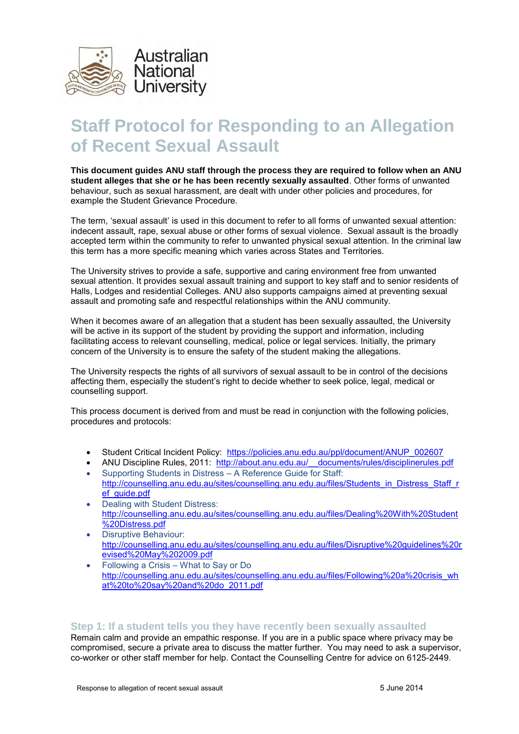

# **Staff Protocol for Responding to an Allegation of Recent Sexual Assault**

**This document guides ANU staff through the process they are required to follow when an ANU student alleges that she or he has been recently sexually assaulted**. Other forms of unwanted behaviour, such as sexual harassment, are dealt with under other policies and procedures, for example the Student Grievance Procedure.

The term, 'sexual assault' is used in this document to refer to all forms of unwanted sexual attention: indecent assault, rape, sexual abuse or other forms of sexual violence. Sexual assault is the broadly accepted term within the community to refer to unwanted physical sexual attention. In the criminal law this term has a more specific meaning which varies across States and Territories.

The University strives to provide a safe, supportive and caring environment free from unwanted sexual attention. It provides sexual assault training and support to key staff and to senior residents of Halls, Lodges and residential Colleges. ANU also supports campaigns aimed at preventing sexual assault and promoting safe and respectful relationships within the ANU community.

When it becomes aware of an allegation that a student has been sexually assaulted, the University will be active in its support of the student by providing the support and information, including facilitating access to relevant counselling, medical, police or legal services. Initially, the primary concern of the University is to ensure the safety of the student making the allegations.

The University respects the rights of all survivors of sexual assault to be in control of the decisions affecting them, especially the student's right to decide whether to seek police, legal, medical or counselling support.

This process document is derived from and must be read in conjunction with the following policies, procedures and protocols:

- Student Critical Incident Policy: https://policies.anu.edu.au/ppl/document/ANUP\_002607
- ANU Discipline Rules, 2011: [http://about.anu.edu.au/\\_\\_documents/rules/disciplinerules.pdf](http://about.anu.edu.au/__documents/rules/disciplinerules.pdf)
- Supporting Students in Distress A Reference Guide for Staff: [http://counselling.anu.edu.au/sites/counselling.anu.edu.au/files/Students\\_in\\_Distress\\_Staff\\_r](http://counselling.anu.edu.au/sites/counselling.anu.edu.au/files/Students_in_Distress_Staff_ref_guide.pdf) ef\_quide.pdf
- Dealing with Student Distress: [http://counselling.anu.edu.au/sites/counselling.anu.edu.au/files/Dealing%20With%20Student](http://counselling.anu.edu.au/sites/counselling.anu.edu.au/files/Dealing%20With%20Student%20Distress.pdf) [%20Distress.pdf](http://counselling.anu.edu.au/sites/counselling.anu.edu.au/files/Dealing%20With%20Student%20Distress.pdf)
- Disruptive Behaviour: [http://counselling.anu.edu.au/sites/counselling.anu.edu.au/files/Disruptive%20guidelines%20r](http://counselling.anu.edu.au/sites/counselling.anu.edu.au/files/Disruptive%20guidelines%20revised%20May%202009.pdf) [evised%20May%202009.pdf](http://counselling.anu.edu.au/sites/counselling.anu.edu.au/files/Disruptive%20guidelines%20revised%20May%202009.pdf)
- Following a Crisis What to Say or Do [http://counselling.anu.edu.au/sites/counselling.anu.edu.au/files/Following%20a%20crisis\\_wh](http://counselling.anu.edu.au/sites/counselling.anu.edu.au/files/Following%20a%20crisis_what%20to%20say%20and%20do_2011.pdf) [at%20to%20say%20and%20do\\_2011.pdf](http://counselling.anu.edu.au/sites/counselling.anu.edu.au/files/Following%20a%20crisis_what%20to%20say%20and%20do_2011.pdf)

# **Step 1: If a student tells you they have recently been sexually assaulted**

Remain calm and provide an empathic response. If you are in a public space where privacy may be compromised, secure a private area to discuss the matter further. You may need to ask a supervisor, co-worker or other staff member for help. Contact the Counselling Centre for advice on 6125-2449.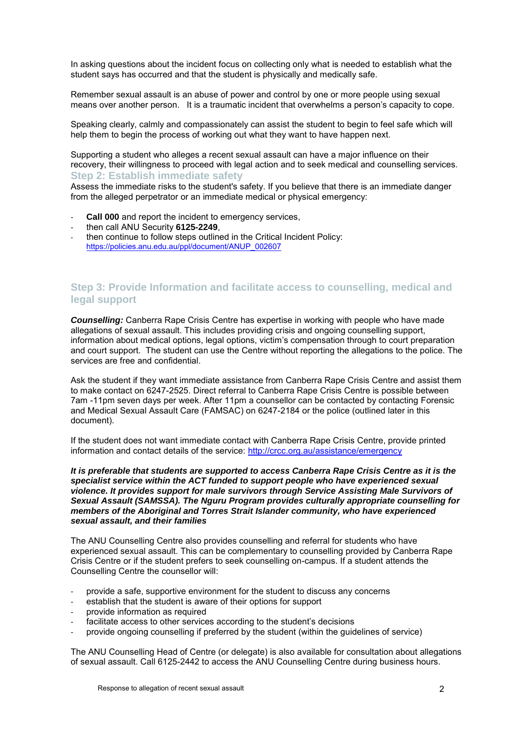In asking questions about the incident focus on collecting only what is needed to establish what the student says has occurred and that the student is physically and medically safe.

Remember sexual assault is an abuse of power and control by one or more people using sexual means over another person. It is a traumatic incident that overwhelms a person's capacity to cope.

Speaking clearly, calmly and compassionately can assist the student to begin to feel safe which will help them to begin the process of working out what they want to have happen next.

Supporting a student who alleges a recent sexual assault can have a major influence on their recovery, their willingness to proceed with legal action and to seek medical and counselling services. **Step 2: Establish immediate safety** 

Assess the immediate risks to the student's safety. If you believe that there is an immediate danger from the alleged perpetrator or an immediate medical or physical emergency:

- **Call 000** and report the incident to emergency services,
- then call ANU Security **6125-2249**,
- then continue to follow steps outlined in the Critical Incident Policy: [https://policies.anu.edu.au/ppl/document/ANUP\\_002607](https://policies.anu.edu.au/ppl/document/ANUP_002607)

# **Step 3: Provide Information and facilitate access to counselling, medical and legal support**

*Counselling:* Canberra Rape Crisis Centre has expertise in working with people who have made allegations of sexual assault. This includes providing crisis and ongoing counselling support, information about medical options, legal options, victim's compensation through to court preparation and court support. The student can use the Centre without reporting the allegations to the police. The services are free and confidential.

Ask the student if they want immediate assistance from Canberra Rape Crisis Centre and assist them to make contact on 6247-2525. Direct referral to Canberra Rape Crisis Centre is possible between 7am -11pm seven days per week. After 11pm a counsellor can be contacted by contacting Forensic and Medical Sexual Assault Care (FAMSAC) on 6247-2184 or the police (outlined later in this document).

If the student does not want immediate contact with Canberra Rape Crisis Centre, provide printed information and contact details of the service:<http://crcc.org.au/assistance/emergency>

*It is preferable that students are supported to access Canberra Rape Crisis Centre as it is the specialist service within the ACT funded to support people who have experienced sexual violence. It provides support for male survivors through Service Assisting Male Survivors of Sexual Assault (SAMSSA). The Nguru Program provides culturally appropriate counselling for members of the Aboriginal and Torres Strait Islander community, who have experienced sexual assault, and their families* 

The ANU Counselling Centre also provides counselling and referral for students who have experienced sexual assault. This can be complementary to counselling provided by Canberra Rape Crisis Centre or if the student prefers to seek counselling on-campus. If a student attends the Counselling Centre the counsellor will:

- provide a safe, supportive environment for the student to discuss any concerns
- establish that the student is aware of their options for support
- provide information as required
- facilitate access to other services according to the student's decisions
- provide ongoing counselling if preferred by the student (within the guidelines of service)

The ANU Counselling Head of Centre (or delegate) is also available for consultation about allegations of sexual assault. Call 6125-2442 to access the ANU Counselling Centre during business hours.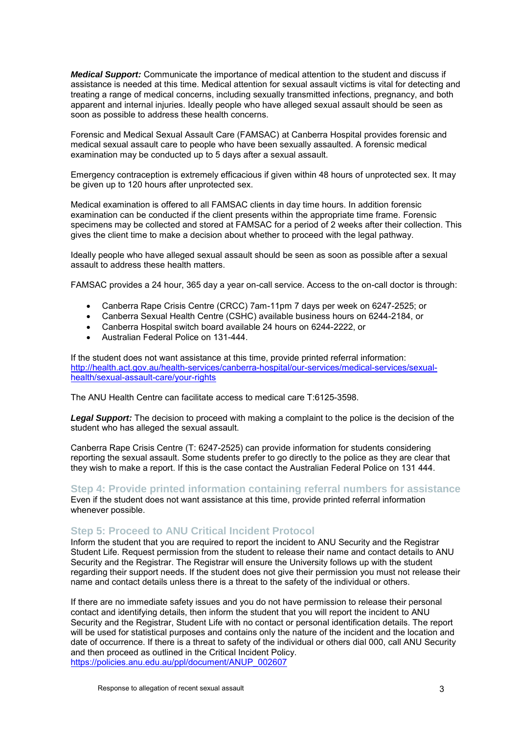*Medical Support:* Communicate the importance of medical attention to the student and discuss if assistance is needed at this time. Medical attention for sexual assault victims is vital for detecting and treating a range of medical concerns, including sexually transmitted infections, pregnancy, and both apparent and internal injuries. Ideally people who have alleged sexual assault should be seen as soon as possible to address these health concerns.

Forensic and Medical Sexual Assault Care (FAMSAC) at Canberra Hospital provides forensic and medical sexual assault care to people who have been sexually assaulted. A forensic medical examination may be conducted up to 5 days after a sexual assault.

Emergency contraception is extremely efficacious if given within 48 hours of unprotected sex. It may be given up to 120 hours after unprotected sex.

Medical examination is offered to all FAMSAC clients in day time hours. In addition forensic examination can be conducted if the client presents within the appropriate time frame. Forensic specimens may be collected and stored at FAMSAC for a period of 2 weeks after their collection. This gives the client time to make a decision about whether to proceed with the legal pathway.

Ideally people who have alleged sexual assault should be seen as soon as possible after a sexual assault to address these health matters.

FAMSAC provides a 24 hour, 365 day a year on-call service. Access to the on-call doctor is through:

- Canberra Rape Crisis Centre (CRCC) 7am-11pm 7 days per week on 6247-2525; or
- Canberra Sexual Health Centre (CSHC) available business hours on 6244-2184, or
- Canberra Hospital switch board available 24 hours on 6244-2222, or
- Australian Federal Police on 131-444.

If the student does not want assistance at this time, provide printed referral information: [http://health.act.gov.au/health-services/canberra-hospital/our-services/medical-services/sexual](http://health.act.gov.au/health-services/canberra-hospital/our-services/medical-services/sexual-health/sexual-assault-care/your-rights)[health/sexual-assault-care/your-rights](http://health.act.gov.au/health-services/canberra-hospital/our-services/medical-services/sexual-health/sexual-assault-care/your-rights) 

The ANU Health Centre can facilitate access to medical care T:6125-3598.

*Legal Support:* The decision to proceed with making a complaint to the police is the decision of the student who has alleged the sexual assault.

Canberra Rape Crisis Centre (T: 6247-2525) can provide information for students considering reporting the sexual assault. Some students prefer to go directly to the police as they are clear that they wish to make a report. If this is the case contact the Australian Federal Police on 131 444.

**Step 4: Provide printed information containing referral numbers for assistance**  Even if the student does not want assistance at this time, provide printed referral information whenever possible.

## **Step 5: Proceed to ANU Critical Incident Protocol**

Inform the student that you are required to report the incident to ANU Security and the Registrar Student Life. Request permission from the student to release their name and contact details to ANU Security and the Registrar. The Registrar will ensure the University follows up with the student regarding their support needs. If the student does not give their permission you must not release their name and contact details unless there is a threat to the safety of the individual or others.

If there are no immediate safety issues and you do not have permission to release their personal contact and identifying details, then inform the student that you will report the incident to ANU Security and the Registrar, Student Life with no contact or personal identification details. The report will be used for statistical purposes and contains only the nature of the incident and the location and date of occurrence. If there is a threat to safety of the individual or others dial 000, call ANU Security and then proceed as outlined in the Critical Incident Policy. [https://policies.anu.edu.au/ppl/document/ANUP\\_002607](https://policies.anu.edu.au/ppl/document/ANUP_002607)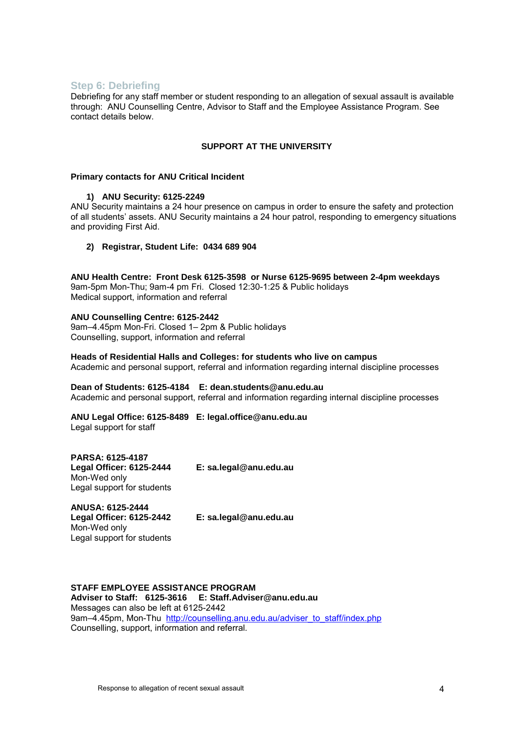## **Step 6: Debriefing**

Debriefing for any staff member or student responding to an allegation of sexual assault is available through: ANU Counselling Centre, Advisor to Staff and the Employee Assistance Program. See contact details below.

## **SUPPORT AT THE UNIVERSITY**

## **Primary contacts for ANU Critical Incident**

## **1) ANU Security: 6125-2249**

ANU Security maintains a 24 hour presence on campus in order to ensure the safety and protection of all students' assets. ANU Security maintains a 24 hour patrol, responding to emergency situations and providing First Aid.

## **2) Registrar, Student Life: 0434 689 904**

**ANU Health Centre: Front Desk 6125-3598 or Nurse 6125-9695 between 2-4pm weekdays** 

9am-5pm Mon-Thu; 9am-4 pm Fri. Closed 12:30-1:25 & Public holidays Medical support, information and referral

#### **ANU Counselling Centre: 6125-2442**

9am–4.45pm Mon-Fri. Closed 1– 2pm & Public holidays Counselling, support, information and referral

**Heads of Residential Halls and Colleges: for students who live on campus**  Academic and personal support, referral and information regarding internal discipline processes

**Dean of Students: 6125-4184 E: dean.students@anu.edu.au** 

Academic and personal support, referral and information regarding internal discipline processes

**ANU Legal Office: 6125-8489 E: legal.office@anu.edu.au**  Legal support for staff

**PARSA: 6125-4187 Legal Officer: 6125-2444 E: sa.legal@anu.edu.au**  Mon-Wed only Legal support for students

**ANUSA: 6125-2444 Legal Officer: 6125-2442 E: sa.legal@anu.edu.au**  Mon-Wed only Legal support for students

## **STAFF EMPLOYEE ASSISTANCE PROGRAM**

**Adviser to Staff: 6125-3616 E: [Staff.Adviser@anu.edu.au](mailto:staff.adviser@anu.edu.au)** Messages can also be left at 6125-2442 9am–4.45pm, Mon-Thu [http://counselling.anu.edu.au/adviser\\_to\\_staff/index.php](http://counselling.anu.edu.au/adviser_to_staff/index.php) Counselling, support, information and referral.